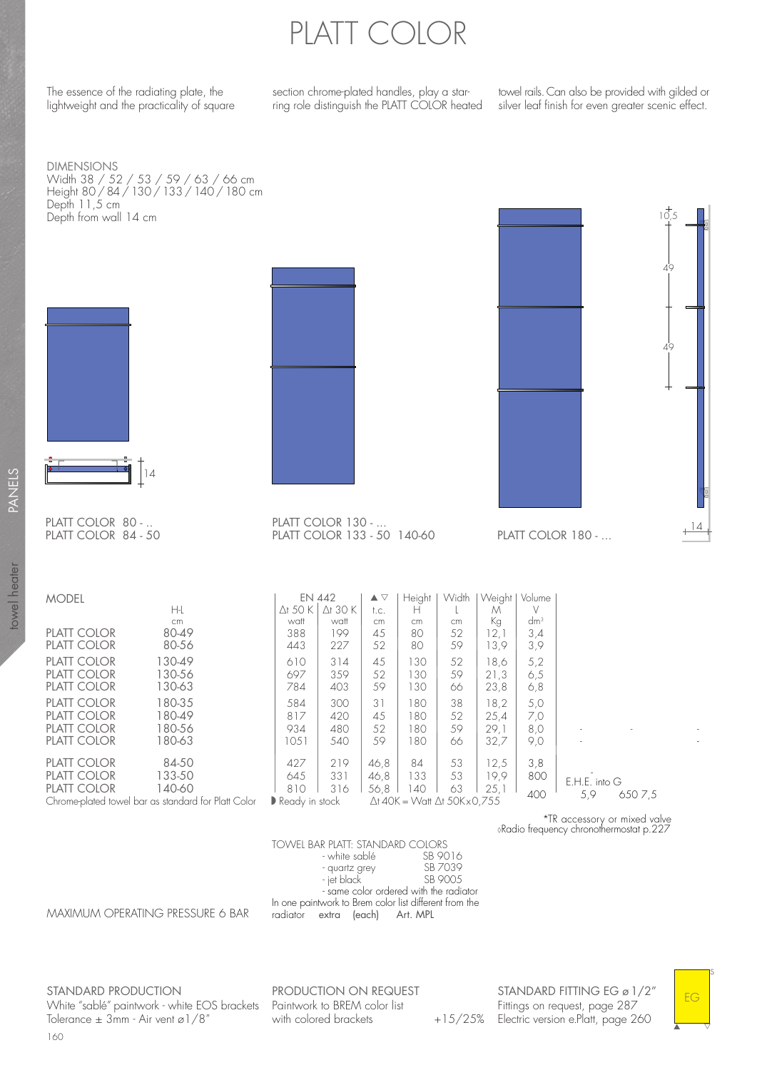## PLATT COLOR

The essence of the radiating plate, the lightweight and the practicality of square section chrome-plated handles, play a starring role distinguish the PLATT COLOR heated

towel rails. Can also be provided with gilded or silver leaf finish for even greater scenic effect.

 $10,5$ 

49

49

14

DIMENSIONS Width 38 / 52 / 53 / 59 / 63 / 66 cm Height 80 / 84 / 130 / 133 / 140 / 180 cm Depth 11,5 cm Depth from wall 14 cm





PLATT COLOR 84 - 50

| <b>MODEL</b>                                        |        | <b>EN 442</b>                   |                 | $\blacktriangle \triangledown$ | Height                                       | Width     | Weight | Volume |                |  |
|-----------------------------------------------------|--------|---------------------------------|-----------------|--------------------------------|----------------------------------------------|-----------|--------|--------|----------------|--|
|                                                     | H-L    | $\Delta$ t 50 K                 | $\Delta$ t 30 K | t.c.                           | н                                            |           | M      |        |                |  |
|                                                     | cm     | watt                            | watt            | cm                             | cm                                           | <b>cm</b> | Кg     | $dm^3$ |                |  |
| PLATT COLOR                                         | 80-49  | 388                             | 199             | 45                             | 80                                           | 52        | 12,1   | 3,4    |                |  |
| PLATT COLOR                                         | 80-56  | 443                             | 227             | 52                             | 80                                           | 59        | 13,9   | 3,9    |                |  |
| PLATT COLOR                                         | 130-49 | 610                             | 314             | 45                             | 130                                          | 52        | 18.6   | 5,2    |                |  |
| PLATT COLOR                                         | 130-56 | 697                             | 359             | 52                             | 130                                          | 59        | 21,3   | 6,5    |                |  |
| PLATT COLOR                                         | 130-63 | 784                             | 403             | 59                             | 130                                          | 66        | 23,8   | 6,8    |                |  |
| PLATT COLOR                                         | 180-35 | 584                             | 300             | 31                             | 180                                          | 38        | 18,2   | 5,0    |                |  |
| PLATT COLOR                                         | 180-49 | 817                             | 420             | 45                             | 180                                          | 52        | 25,4   | 7,0    |                |  |
| PLATT COLOR                                         | 180-56 | 934                             | 480             | 52                             | 180                                          | 59        | 29.1   | 8,0    |                |  |
| PLATT COLOR                                         | 180-63 | 1051                            | 540             | 59                             | 180                                          | 66        | 32,7   | 9,0    |                |  |
| PLATT COLOR                                         | 84-50  | 427                             | 219             | 46,8                           | 84                                           | 53        | 12,5   | 3,8    |                |  |
| PLATT COLOR                                         | 133-50 | 645                             | 331             | 46,8                           | 133                                          | 53        | 19,9   | 800    |                |  |
| PLATT COLOR                                         | 140-60 | 810                             | 316             |                                | 140                                          | 63        |        |        | E.H.E. into G  |  |
|                                                     |        |                                 |                 | 56,8                           |                                              |           | 25.1   | 400    | 5,9<br>650 7.5 |  |
| Chrome-plated towel bar as standard for Platt Color |        | $\triangleright$ Ready in stock |                 |                                | $\Delta$ t 40K = Watt $\Delta$ t 50K x 0.755 |           |        |        |                |  |

PLATT COLOR 130 - ...

PLATT COLOR 133 - 50 140-60

\*TR accessory or mixed valve ◊Radio frequency chronothermostat p.227

PLATT COLOR 180 - ...

TOWEL BAR PLATT: STANDARD COLORS<br>white sablé 5B 9016 - white sablé<br>- quartz grey SB 7039 - quartz grey SB 7039 - jet black In one paintwork to Brem color list different from the - same color ordered with the radiator radiator extra (each) Art. MPL

MAXIMUM OPERATING PRESSURE 6 BAR

160 STANDARD PRODUCTION White "sablé" paintwork - white EOS brackets Paintwork to BREM color list Tolerance  $\pm$  3mm - Air vent ø1/8"

PRODUCTION ON REQUEST with colored brackets

STANDARD FITTING EG ø 1/2" Fittings on request, page 287 +15/25% Electric version e.Platt, page 260

EG

s

 $\overline{\phantom{a}}$ 

▲